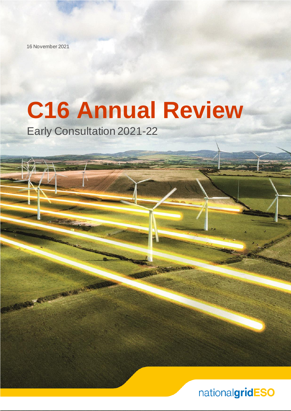16 November 2021

**ACCASSING SAMP** 

# **C16 Annual Review**

Early Consultation 2021-22

nationalgridESO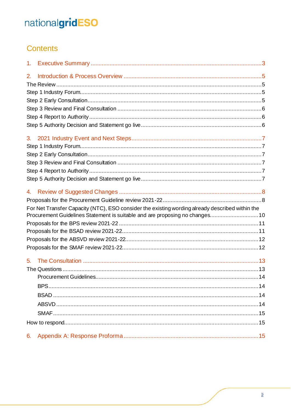# Contents

| 1 <sub>1</sub> |                                                                                                 |  |
|----------------|-------------------------------------------------------------------------------------------------|--|
| 2.             |                                                                                                 |  |
|                |                                                                                                 |  |
|                |                                                                                                 |  |
|                |                                                                                                 |  |
|                |                                                                                                 |  |
|                |                                                                                                 |  |
|                |                                                                                                 |  |
| 3.             |                                                                                                 |  |
|                |                                                                                                 |  |
|                |                                                                                                 |  |
|                |                                                                                                 |  |
|                |                                                                                                 |  |
|                |                                                                                                 |  |
| 4.             |                                                                                                 |  |
|                |                                                                                                 |  |
|                | For Net Transfer Capacity (NTC), ESO consider the existing wording already described within the |  |
|                | Procurement Guidelines Statement is suitable and are proposing no changes10                     |  |
|                |                                                                                                 |  |
|                |                                                                                                 |  |
|                |                                                                                                 |  |
|                |                                                                                                 |  |
|                |                                                                                                 |  |
|                |                                                                                                 |  |
|                |                                                                                                 |  |
|                |                                                                                                 |  |
|                |                                                                                                 |  |
|                |                                                                                                 |  |
|                |                                                                                                 |  |
|                |                                                                                                 |  |
| 6.             |                                                                                                 |  |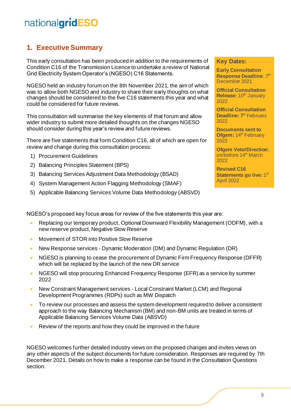# <span id="page-2-0"></span>**1. Executive Summary**

This early consultation has been produced in addition to the requirements of Condition C16 of the Transmission Licence to undertake a review of National Grid Electricity System Operator's (NGESO) C16 Statements.

NGESO held an industry forum on the 8th November 2021, the aim of which was to allow both NGESO and industry to share their early thoughts on what changes should be considered to the five C16 statements this year and what could be considered for future reviews.

This consultation will summarise the key elements of that forum and allow wider industry to submit more detailed thoughts on the changes NGESO should consider during this year's review and future reviews.

There are five statements that form Condition C16, all of which are open for review and change during this consultation process:

- 1) Procurement Guidelines
- 2) Balancing Principles Statement (BPS)
- 3) Balancing Services Adjustment Data Methodology (BSAD)
- 4) System Management Action Flagging Methodology (SMAF)
- 5) Applicable Balancing Services Volume Data Methodology (ABSVD)

#### **Key Dates:**

**Early Consultation Response Deadline: 7th** December 2021

**Official Consultation Release: 10<sup>th</sup> January** 2022

**Official Consultation Deadline: 7<sup>th</sup> February** 2022

**Documents sent to Ofgem: 14<sup>th</sup> February** 2022

**Ofgem Veto/Direction**: on/before 14<sup>th</sup> March 2022

**Revised C16**  Statements go live: 1st April 2022

NGESO's proposed key focus areas for review of the five statements this year are:

- Replacing our temporary product, Optional Downward Flexibility Management (ODFM), with a new reserve product, Negative Slow Reserve
- Movement of STOR into Positive Slow Reserve
- New Response services Dynamic Moderation (DM) and Dynamic Regulation (DR)
- NGESO is planning to cease the procurement of Dynamic Firm Frequency Response (DFFR) which will be replaced by the launch of the new DR service
- NGESO will stop procuring Enhanced Frequency Response (EFR) as a service by summer 2022
- New Constraint Management services Local Constraint Market (LCM) and Regional Development Programmes (RDPs) such as MW Dispatch
- To review our processes and assess the system development required to deliver a consistent approach to the way Balancing Mechanism (BM) and non-BM units are treated in terms of Applicable Balancing Services Volume Data (ABSVD)
- Review of the reports and how they could be improved in the future

NGESO welcomes further detailed industry views on the proposed changes and invites views on any other aspects of the subject documents for future consideration. Responses are required by 7th December 2021. Details on how to make a response can be found in the Consultation Questions section.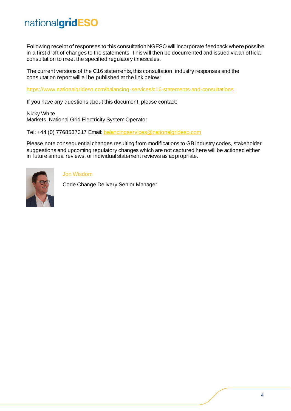Following receipt of responses to this consultation NGESO will incorporate feedback where possible in a first draft of changes to the statements. This will then be documented and issued via an official consultation to meet the specified regulatory timescales.

The current versions of the C16 statements, this consultation, industry responses and the consultation report will all be published at the link below:

<https://www.nationalgrideso.com/balancing-services/c16-statements-and-consultations>

If you have any questions about this document, please contact:

Nicky White Markets, National Grid Electricity System Operator

Tel: +44 (0) 7768537317 Email[: balancingservices@nationalgrideso.com](mailto:balancingservices@nationalgrideso.com)

Please note consequential changes resulting from modifications to GB industry codes, stakeholder suggestions and upcoming regulatory changes which are not captured here will be actioned either in future annual reviews, or individual statement reviews as appropriate.



Jon Wisdom

Code Change Delivery Senior Manager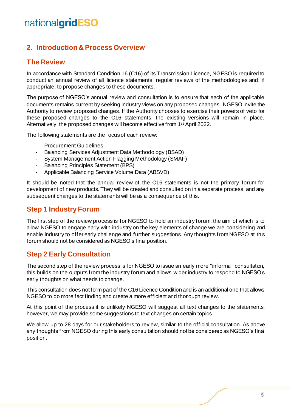# <span id="page-4-0"></span>**2. Introduction & Process Overview**

### <span id="page-4-1"></span>**The Review**

In accordance with Standard Condition 16 (C16) of its Transmission Licence, NGESO is required to conduct an annual review of all licence statements, regular reviews of the methodologies and, if appropriate, to propose changes to these documents.

The purpose of NGESO's annual review and consultation is to ensure that each of the applicable documents remains current by seeking industry views on any proposed changes. NGESO invite the Authority to review proposed changes. If the Authority chooses to exercise their powers of veto for these proposed changes to the C16 statements, the existing versions will remain in place. Alternatively, the proposed changes will become effective from 1<sup>st</sup> April 2022.

The following statements are the focus of each review:

- **Procurement Guidelines**
- Balancing Services Adjustment Data Methodology (BSAD)
- System Management Action Flagging Methodology (SMAF)
- Balancing Principles Statement (BPS)
- Applicable Balancing Service Volume Data (ABSVD)

It should be noted that the annual review of the C16 statements is not the primary forum for development of new products. They will be created and consulted on in a separate process, and any subsequent changes to the statements will be as a consequence of this.

### <span id="page-4-2"></span>**Step 1 Industry Forum**

The first step of the review process is for NGESO to hold an industry forum, the aim of which is to allow NGESO to engage early with industry on the key elements of change we are considering and enable industry to offer early challenge and further suggestions. Any thoughts from NGESO at this forum should not be considered as NGESO's final position.

# <span id="page-4-3"></span>**Step 2 Early Consultation**

The second step of the review process is for NGESO to issue an early more "informal" consultation, this builds on the outputs from the industry forum and allows wider industry to respond to NGESO's early thoughts on what needs to change.

This consultation does not form part of the C16 Licence Condition and is an additional one that allows NGESO to do more fact finding and create a more efficient and thorough review.

At this point of the process it is unlikely NGESO will suggest all text changes to the statements, however, we may provide some suggestions to text changes on certain topics.

We allow up to 28 days for our stakeholders to review, similar to the official consultation. As above any thoughts from NGESO during this early consultation should not be considered as NGESO's final position.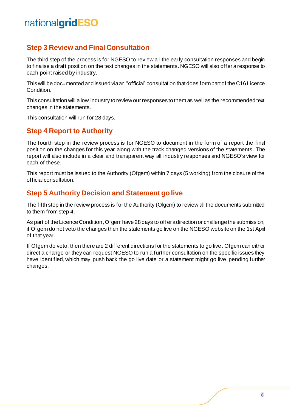# <span id="page-5-0"></span>**Step 3 Review and Final Consultation**

The third step of the process is for NGESO to review all the early consultation responses and begin to finalise a draft position on the text changes in the statements. NGESO will also offer a response to each point raised by industry.

This will be documented and issued via an "official" consultation that does form part of the C16 Licence Condition.

This consultation will allow industry to review our responses to them as well as the recommended text changes in the statements.

This consultation will run for 28 days.

# <span id="page-5-1"></span>**Step 4 Report to Authority**

The fourth step in the review process is for NGESO to document in the form of a report the final position on the changes for this year along with the track changed versions of the statements . The report will also include in a clear and transparent way all industry responses and NGESO's view for each of these.

This report must be issued to the Authority (Ofgem) within 7 days (5 working) from the closure of the official consultation.

### <span id="page-5-2"></span>**Step 5 Authority Decision and Statement go live**

The fifth step in the review process is for the Authority (Ofgem) to review all the documents submitted to them from step 4.

As part of the Licence Condition, Ofgem have 28 days to offer a direction or challenge the submission, if Ofgem do not veto the changes then the statements go live on the NGESO website on the 1st April of that year.

If Ofgem do veto, then there are 2 different directions for the statements to go live. Ofgem can either direct a change or they can request NGESO to run a further consultation on the specific issues they have identified, which may push back the go live date or a statement might go live pending further changes.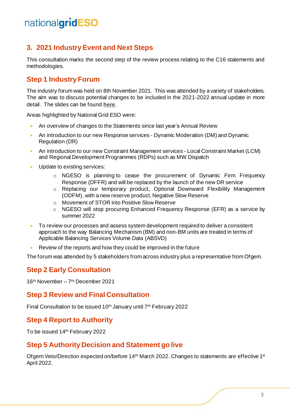# <span id="page-6-0"></span>**3. 2021 Industry Event and Next Steps**

This consultation marks the second step of the review process relating to the C16 statements and methodologies.

### <span id="page-6-1"></span>**Step 1 Industry Forum**

The industry forum was held on 8th November 2021. This was attended by a variety of stakeholders. The aim was to discuss potential changes to be included in the 2021-2022 annual update in more detail. The slides can be found **[here](https://www.nationalgrideso.com/document/221016/download)**.

Areas highlighted by National Grid ESO were:

- An overview of changes to the Statements since last year's Annual Review
- An introduction to our new Response services Dynamic Moderation (DM) and Dynamic Regulation (DR)
- An introduction to our new Constraint Management services Local Constraint Market (LCM) and Regional Development Programmes (RDPs) such as MW Dispatch
- Update to existing services:
	- o NGESO is planning to cease the procurement of Dynamic Firm Frequency Response (DFFR) and will be replaced by the launch of the new DR service
	- o Replacing our temporary product, Optional Downward Flexibility Management (ODFM), with a new reserve product, Negative Slow Reserve
	- o Movement of STOR into Positive Slow Reserve
	- $\circ$  NGESO will stop procuring Enhanced Frequency Response (EFR) as a service by summer 2022
- To review our processes and assess system development required to deliver a consistent approach to the way Balancing Mechanism (BM) and non-BM units are treated in terms of Applicable Balancing Services Volume Data (ABSVD)
- Review of the reports and how they could be improved in the future

The forum was attended by 5 stakeholders from across industry plus a representative from Ofgem.

### <span id="page-6-2"></span>**Step 2 Early Consultation**

16 th November – 7 th December 2021

### <span id="page-6-3"></span>**Step 3 Review and Final Consultation**

Final Consultation to be issued 10<sup>th</sup> January until 7<sup>th</sup> February 2022

### <span id="page-6-4"></span>**Step 4 Report to Authority**

To be issued 14 th February 2022

### <span id="page-6-5"></span>**Step 5 Authority Decision and Statement go live**

Ofgem Veto/Direction expected on/before 14<sup>th</sup> March 2022. Changes to statements are effective 1<sup>st</sup> April 2022.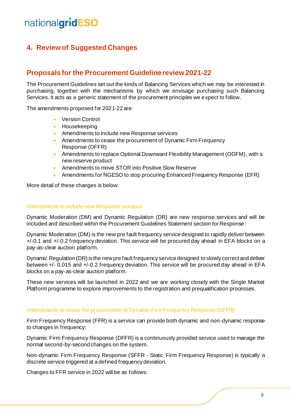# <span id="page-7-0"></span>**4. Review of Suggested Changes**

# <span id="page-7-1"></span>**Proposals for the Procurement Guideline review 2021-22**

The Procurement Guidelines set out the kinds of Balancing Services which we may be interested in purchasing, together with the mechanisms by which we envisage purchasing such Balancing Services. It acts as a generic statement of the procurement principles we expect to follow.

The amendments proposed for 2021-22 are:

- Version Control
- Housekeeping
- Amendments to include new Response services
- Amendments to cease the procurement of Dynamic Firm Frequency Response (DFFR)
- Amendments to replace Optional Downward Flexibility Management (ODFM), with a new reserve product
- Amendments to move STOR into Positive Slow Reserve
- Amendments for NGESO to stop procuring Enhanced Frequency Response (EFR)

More detail of these changes is below:

#### Amendments to include new Response services

Dynamic Moderation (DM) and Dynamic Regulation (DR) are new response services and will be included and described within the Procurement Guidelines Statement section for Response:

Dynamic Moderation (DM) is the new pre fault frequency service designed to rapidly deliver between +/-0.1 and +/-0.2 frequency deviation. This service will be procured day ahead in EFA blocks on a pay-as-clear auction platform.

Dynamic Regulation (DR) is the new pre fault frequency service designed to slowly correct and deliver between +/- 0.015 and +/-0.2 frequency deviation. This service will be procured day ahead in EFA blocks on a pay-as-clear auction platform.

These new services will be launched in 2022 and we are working closely with the Single Market Platform programme to explore improvements to the registration and prequalification processes.

#### Amendments to cease the procurement of Dynamic Firm Frequency Response (DFFR)

Firm Frequency Response (FFR) is a service can provide both dynamic and non-dynamic response to changes in frequency:

Dynamic Firm Frequency Response (DFFR) is a continuously provided service used to manage the normal second-by-second changes on the system.

Non-dynamic Firm Frequency Response (SFFR - Static Firm Frequency Response) is typically a discrete service triggered at a defined frequency deviation.

Changes to FFR service in 2022 will be as follows: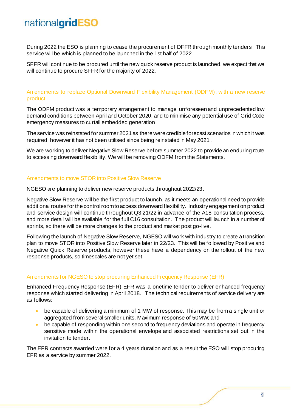During 2022 the ESO is planning to cease the procurement of DFFR through monthly tenders. This service will be which is planned to be launched in the 1st half of 2022.

SFFR will continue to be procured until the new quick reserve product is launched, we expect that we will continue to procure SFFR for the majority of 2022.

Amendments to replace Optional Downward Flexibility Management (ODFM), with a new reserve product

The ODFM product was a temporary arrangement to manage unforeseen and unprecedented low demand conditions between April and October 2020, and to minimise any potential use of Grid Code emergency measures to curtail embedded generation

The service was reinstated for summer 2021 as there were credible forecast scenarios in which it was required, however it has not been utilised since being reinstated in May 2021.

We are working to deliver Negative Slow Reserve before summer 2022 to provide an enduring route to accessing downward flexibility. We will be removing ODFM from the Statements.

#### Amendments to move STOR into Positive Slow Reserve

NGESO are planning to deliver new reserve products throughout 2022/23.

Negative Slow Reserve will be the first product to launch, as it meets an operational need to provide additional routes for the control room to access downward flexibility. Industry engagement on product and service design will continue throughout Q3 21/22 in advance of the A18 consultation process, and more detail will be available for the full C16 consultation. The product will launch in a number of sprints, so there will be more changes to the product and market post go-live.

Following the launch of Negative Slow Reserve, NGESO will work with industry to create a transition plan to move STOR into Positive Slow Reserve later in 22/23. This will be followed by Positive and Negative Quick Reserve products, however these have a dependency on the rollout of the new response products, so timescales are not yet set.

#### Amendments for NGESO to stop procuring Enhanced Frequency Response (EFR)

Enhanced Frequency Response (EFR) EFR was a onetime tender to deliver enhanced frequency response which started delivering in April 2018. The technical requirements of service delivery are as follows:

- be capable of delivering a minimum of 1 MW of response. This may be from a single unit or aggregated from several smaller units. Maximum response of 50MW; and
- be capable of responding within one second to frequency deviations and operate in frequency sensitive mode within the operational envelope and associated restrictions set out in the invitation to tender.

The EFR contracts awarded were for a 4 years duration and as a result the ESO will stop procuring EFR as a service by summer 2022.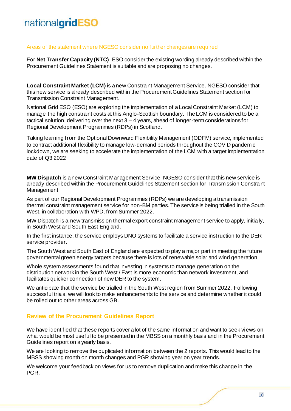#### Areas of the statement where NGESO consider no further changes are required

<span id="page-9-0"></span>For **Net Transfer Capacity (NTC)**, ESO consider the existing wording already described within the Procurement Guidelines Statement is suitable and are proposing no changes.

**Local Constraint Market (LCM)** is a new Constraint Management Service. NGESO consider that this new service is already described within the Procurement Guidelines Statement section for Transmission Constraint Management.

National Grid ESO (ESO) are exploring the implementation of a Local Constraint Market (LCM) to manage the high constraint costs at this Anglo-Scottish boundary. The LCM is considered to be a tactical solution, delivering over the next 3 – 4 years, ahead of longer-term considerations for Regional Development Programmes (RDPs) in Scotland.

Taking learning from the Optional Downward Flexibility Management (ODFM) service, implemented to contract additional flexibility to manage low-demand periods throughout the COVID pandemic lockdown, we are seeking to accelerate the implementation of the LCM with a target implementation date of Q3 2022.

**MW Dispatch** is a new Constraint Management Service. NGESO consider that this new service is already described within the Procurement Guidelines Statement section for Transmission Constraint Management.

As part of our Regional Development Programmes (RDPs) we are developing a transmission thermal constraint management service for non-BM parties. The service is being trialled in the South West, in collaboration with WPD, from Summer 2022.

MW Dispatch is a new transmission thermal export constraint management service to apply, initially, in South West and South East England.

In the first instance, the service employs DNO systems to facilitate a service instruction to the DER service provider.

The South West and South East of England are expected to play a major part in meeting the future governmental green energy targets because there is lots of renewable solar and wind generation.

Whole system assessments found that investing in systems to manage generation on the distribution network in the South West / East is more economic than network investment, and facilitates quicker connection of new DER to the system.

We anticipate that the service be trialled in the South West region from Summer 2022. Following successful trials, we will look to make enhancements to the service and determine whether it could be rolled out to other areas across GB.

#### **Review of the Procurement Guidelines Report**

We have identified that these reports cover a lot of the same information and want to seek views on what would be most useful to be presented in the MBSS on a monthly basis and in the Procurement Guidelines report on a yearly basis.

We are looking to remove the duplicated information between the 2 reports. This would lead to the MBSS showing month on month changes and PGR showing year on year trends.

We welcome your feedback on views for us to remove duplication and make this change in the PGR.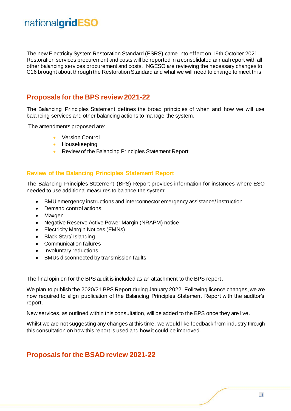The new Electricity System Restoration Standard (ESRS) came into effect on 19th October 2021. Restoration services procurement and costs will be reported in a consolidated annual report with all other balancing services procurement and costs. NGESO are reviewing the necessary changes to C16 brought about through the Restoration Standard and what we will need to change to meet th is.

### <span id="page-10-0"></span>**Proposals for the BPS review 2021-22**

The Balancing Principles Statement defines the broad principles of when and how we will use balancing services and other balancing actions to manage the system.

The amendments proposed are:

- Version Control
- Housekeeping
- Review of the Balancing Principles Statement Report

#### **Review of the Balancing Principles Statement Report**

The Balancing Principles Statement (BPS) Report provides information for instances where ESO needed to use additional measures to balance the system:

- BMU emergency instructions and interconnector emergency assistance/ instruction
- Demand control actions
- Maxgen
- Negative Reserve Active Power Margin (NRAPM) notice
- Electricity Margin Notices (EMNs)
- Black Start/ Islanding
- Communication failures
- Involuntary reductions
- BMUs disconnected by transmission faults

The final opinion for the BPS audit is included as an attachment to the BPS report.

We plan to publish the 2020/21 BPS Report during January 2022. Following licence changes, we are now required to align publication of the Balancing Principles Statement Report with the auditor's report.

New services, as outlined within this consultation, will be added to the BPS once they are live.

Whilst we are not suggesting any changes at this time, we would like feedback from industry through this consultation on how this report is used and how it could be improved.

### <span id="page-10-1"></span>**Proposals for the BSAD review 2021-22**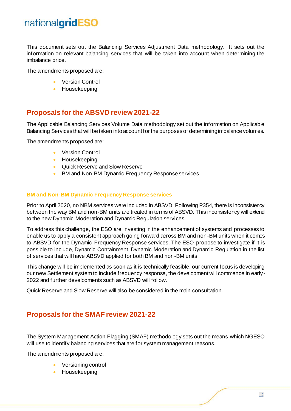This document sets out the Balancing Services Adjustment Data methodology. It sets out the information on relevant balancing services that will be taken into account when determining the imbalance price.

The amendments proposed are:

- Version Control
- Housekeeping

### <span id="page-11-0"></span>**Proposals for the ABSVD review 2021-22**

The Applicable Balancing Services Volume Data methodology set out the information on Applicable Balancing Services that will be taken into account for the purposes of determining imbalance volumes.

The amendments proposed are:

- Version Control
- Housekeeping
- Quick Reserve and Slow Reserve
- BM and Non-BM Dynamic Frequency Response services

#### **BM and Non-BM Dynamic Frequency Response services**

Prior to April 2020, no NBM services were included in ABSVD. Following P354, there is inconsistency between the way BM and non-BM units are treated in terms of ABSVD. This inconsistency will extend to the new Dynamic Moderation and Dynamic Regulation services.

To address this challenge, the ESO are investing in the enhancement of systems and processes to enable us to apply a consistent approach going forward across BM and non-BM units when it comes to ABSVD for the Dynamic Frequency Response services. The ESO propose to investigate if it is possible to include, Dynamic Containment, Dynamic Moderation and Dynamic Regulation in the list of services that will have ABSVD applied for both BM and non-BM units.

This change will be implemented as soon as it is technically feasible, our current focus is developing our new Settlement system to include frequency response, the development will commence in early - 2022 and further developments such as ABSVD will follow.

Quick Reserve and Slow Reserve will also be considered in the main consultation.

### <span id="page-11-1"></span>**Proposals for the SMAF review 2021-22**

The System Management Action Flagging (SMAF) methodology sets out the means which NGESO will use to identify balancing services that are for system management reasons.

The amendments proposed are:

- Versioning control
- Housekeeping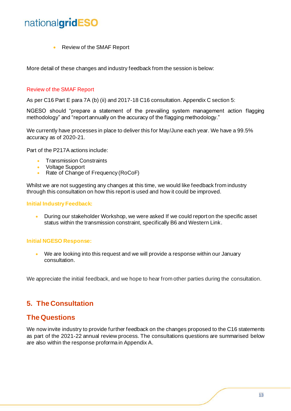• Review of the SMAF Report

More detail of these changes and industry feedback from the session is below:

#### Review of the SMAF Report

As per C16 Part E para 7A (b) (ii) and 2017-18 C16 consultation. Appendix C section 5:

NGESO should "prepare a statement of the prevailing system management action flagging methodology" and "report annually on the accuracy of the flagging methodology."

We currently have processes in place to deliver this for May/June each year. We have a 99.5% accuracy as of 2020-21.

Part of the P217A actions include:

- Transmission Constraints
- Voltage Support
- Rate of Change of Frequency (RoCoF)

Whilst we are not suggesting any changes at this time, we would like feedback from industry through this consultation on how this report is used and how it could be improved.

#### **Initial Industry Feedback:**

• During our stakeholder Workshop, we were asked If we could report on the specific asset status within the transmission constraint, specifically B6 and Western Link.

#### **Initial NGESO Response:**

• We are looking into this request and we will provide a response within our January consultation.

We appreciate the initial feedback, and we hope to hear from other parties during the consultation.

# <span id="page-12-0"></span>**5. The Consultation**

### <span id="page-12-1"></span>**The Questions**

We now invite industry to provide further feedback on the changes proposed to the C16 statements as part of the 2021-22 annual review process. The consultations questions are summarised below are also within the response proforma in Appendix A.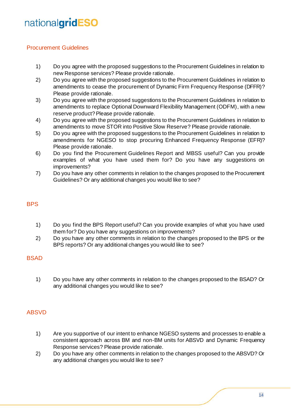### <span id="page-13-0"></span>Procurement Guidelines

- 1) Do you agree with the proposed suggestions to the Procurement Guidelines in relation to new Response services? Please provide rationale.
- 2) Do you agree with the proposed suggestions to the Procurement Guidelines in relation to amendments to cease the procurement of Dynamic Firm Frequency Response (DFFR)? Please provide rationale.
- 3) Do you agree with the proposed suggestions to the Procurement Guidelines in relation to amendments to replace Optional Downward Flexibility Management (ODFM), with a new reserve product? Please provide rationale.
- 4) Do you agree with the proposed suggestions to the Procurement Guidelines in relation to amendments to move STOR into Positive Slow Reserve? Please provide rationale.
- 5) Do you agree with the proposed suggestions to the Procurement Guidelines in relation to amendments for NGESO to stop procuring Enhanced Frequency Response (EFR)? Please provide rationale.
- 6) Do you find the Procurement Guidelines Report and MBSS useful? Can you provide examples of what you have used them for? Do you have any suggestions on improvements?
- 7) Do you have any other comments in relation to the changes proposed to the Procurement Guidelines? Or any additional changes you would like to see?

### <span id="page-13-1"></span>BPS

- 1) Do you find the BPS Report useful? Can you provide examples of what you have used them for? Do you have any suggestions on improvements?
- 2) Do you have any other comments in relation to the changes proposed to the BPS or the BPS reports? Or any additional changes you would like to see?

#### <span id="page-13-2"></span>BSAD

1) Do you have any other comments in relation to the changes proposed to the BSAD? Or any additional changes you would like to see?

### <span id="page-13-3"></span>ABSVD

- 1) Are you supportive of our intent to enhance NGESO systems and processes to enable a consistent approach across BM and non-BM units for ABSVD and Dynamic Frequency Response services? Please provide rationale.
- 2) Do you have any other comments in relation to the changes proposed to the ABSVD? Or any additional changes you would like to see?